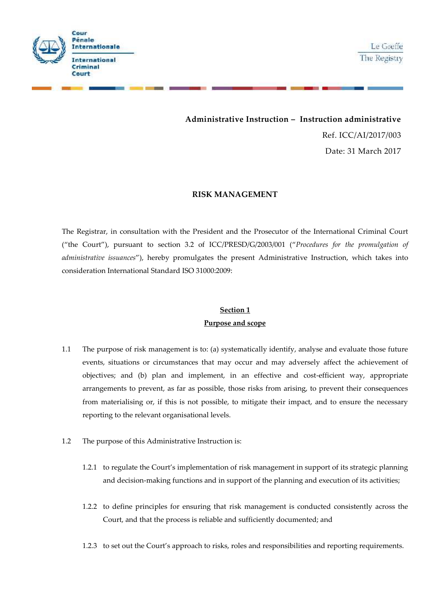

Le Greffe The Registry

**Administrative Instruction –Instruction administrative** Ref. ICC/AI/2017/003 Date: 31 March 2017

#### **RISK MANAGEMENT**

The Registrar, in consultation with the President and the Prosecutor of the International Criminal Court ("the Court"), pursuant to section 3.2 of ICC/PRESD/G/2003/001 ("*Procedures for the promulgation of administrative issuances*"), hereby promulgates the present Administrative Instruction, which takes into consideration International Standard ISO 31000:2009:

## **Section 1 Purpose and scope**

- 1.1 The purpose of risk management is to: (a) systematically identify, analyse and evaluate those future events, situations or circumstances that may occur and may adversely affect the achievement of objectives; and (b) plan and implement, in an effective and cost-efficient way, appropriate arrangements to prevent, as far as possible, those risks from arising, to prevent their consequences from materialising or, if this is not possible, to mitigate their impact, and to ensure the necessary reporting to the relevant organisational levels.
- 1.2 The purpose of this Administrative Instruction is:
	- 1.2.1 to regulate the Court's implementation of risk management in support of its strategic planning and decision-making functions and in support of the planning and execution of its activities;
	- 1.2.2 to define principles for ensuring that risk management is conducted consistently across the Court, and that the process is reliable and sufficiently documented; and
	- 1.2.3 to set out the Court's approach to risks, roles and responsibilities and reporting requirements.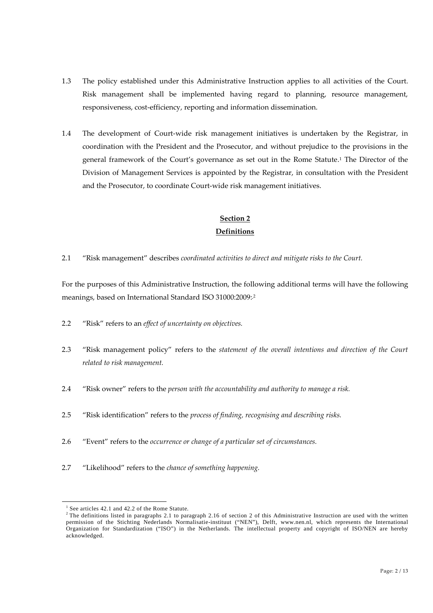- 1.3 The policy established under this Administrative Instruction applies to all activities of the Court. Risk management shall be implemented having regard to planning, resource management, responsiveness, cost-efficiency, reporting and information dissemination.
- 1.4 The development of Court-wide risk management initiatives is undertaken by the Registrar, in coordination with the President and the Prosecutor, and without prejudice to the provisions in the general framework of the Court's governance as set out in the Rome Statute.<sup>1</sup> The Director of the Division of Management Services is appointed by the Registrar, in consultation with the President and the Prosecutor, to coordinate Court-wide risk management initiatives.

## **Section 2 Definitions**

2.1 "Risk management" describes *coordinated activities to direct and mitigate risks to the Court.*

For the purposes of this Administrative Instruction, the following additional terms will have the following meanings, based on International Standard ISO 31000:2009: <sup>2</sup>

- 2.2 "Risk" refers to an *effect of uncertainty on objectives.*
- 2.3 "Risk management policy" refers to the *statement of the overall intentions and direction of the Court related to risk management.*
- 2.4 "Risk owner" refers to the *person with the accountability and authority to manage a risk.*
- 2.5 "Risk identification" refers to the *process of finding, recognising and describing risks.*
- 2.6 "Event" refers to the *occurrence or change of a particular set of circumstances.*
- 2.7 "Likelihood" refers to the *chance of something happening.*

<sup>&</sup>lt;sup>1</sup> See articles 42.1 and 42.2 of the Rome Statute.

 $2$  The definitions listed in paragraphs 2.1 to paragraph 2.16 of section 2 of this Administrative Instruction are used with the written permission of the Stichting Nederlands Normalisatie-instituut ("NEN"), Delft, www.nen.nl, which represents the International Organization for Standardization ("ISO") in the Netherlands. The intellectual property and copyright of ISO/NEN are hereby acknowledged.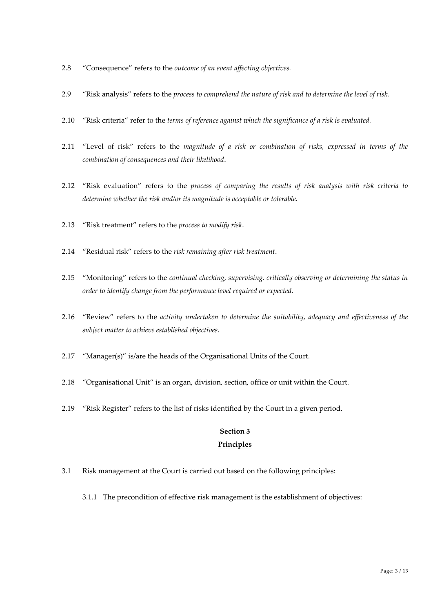- 2.8 "Consequence" refers to the *outcome of an event affecting objectives.*
- 2.9 "Risk analysis" refers to the *process to comprehend the nature of risk and to determine the level of risk.*
- 2.10 "Risk criteria" refer to the *terms of reference against which the significance of a risk is evaluated.*
- 2.11 "Level of risk" refers to the *magnitude of a risk or combination of risks, expressed in terms of the combination of consequences and their likelihood*.
- 2.12 "Risk evaluation" refers to the *process of comparing the results of risk analysis with risk criteria to determine whether the risk and/or its magnitude is acceptable or tolerable.*
- 2.13 "Risk treatment" refers to the *process to modify risk*.
- 2.14 "Residual risk" refers to the *risk remaining after risk treatment*.
- 2.15 "Monitoring" refers to the *continual checking, supervising, critically observing or determining the status in order to identify change from the performance level required or expected.*
- 2.16 "Review" refers to the *activity undertaken to determine the suitability, adequacy and effectiveness of the subject matter to achieve established objectives.*
- 2.17 "Manager(s)" is/are the heads of the Organisational Units of the Court.
- 2.18 "Organisational Unit" is an organ, division, section, office or unit within the Court.
- 2.19 "Risk Register" refers to the list of risks identified by the Court in a given period.

## **Section 3**

#### **Principles**

- 3.1 Risk management at the Court is carried out based on the following principles:
	- 3.1.1 The precondition of effective risk management is the establishment of objectives: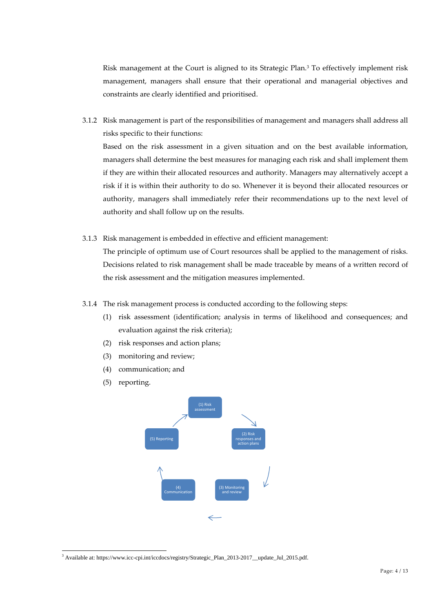Risk management at the Court is aligned to its Strategic Plan.<sup>3</sup> To effectively implement risk management, managers shall ensure that their operational and managerial objectives and constraints are clearly identified and prioritised.

3.1.2 Risk management is part of the responsibilities of management and managers shall address all risks specific to their functions: Based on the risk assessment in a given situation and on the best available information,

managers shall determine the best measures for managing each risk and shall implement them if they are within their allocated resources and authority. Managers may alternatively accept a risk if it is within their authority to do so. Whenever it is beyond their allocated resources or authority, managers shall immediately refer their recommendations up to the next level of authority and shall follow up on the results.

3.1.3 Risk management is embedded in effective and efficient management:

The principle of optimum use of Court resources shall be applied to the management of risks. Decisions related to risk management shall be made traceable by means of a written record of the risk assessment and the mitigation measures implemented.

- 3.1.4 The risk management process is conducted according to the following steps:
	- (1) risk assessment (identification; analysis in terms of likelihood and consequences; and evaluation against the risk criteria);
	- (2) risk responses and action plans;
	- (3) monitoring and review;
	- (4) communication; and
	- (5) reporting.



<sup>3</sup> Available at: https://www.icc-cpi.int/iccdocs/registry/Strategic\_Plan\_2013-2017\_\_update\_Jul\_2015.pdf.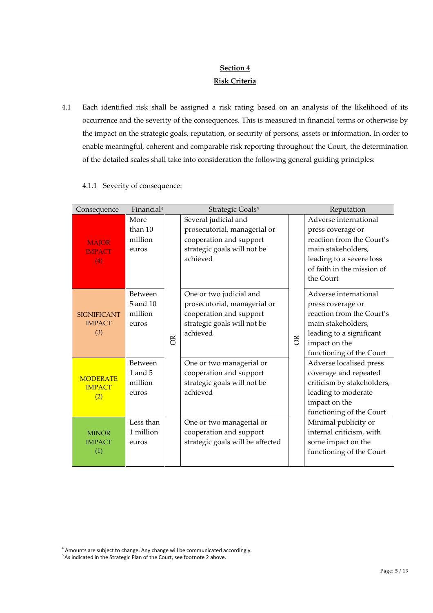# **Section 4 Risk Criteria**

4.1 Each identified risk shall be assigned a risk rating based on an analysis of the likelihood of its occurrence and the severity of the consequences. This is measured in financial terms or otherwise by the impact on the strategic goals, reputation, or security of persons, assets or information. In order to enable meaningful, coherent and comparable risk reporting throughout the Court, the determination of the detailed scales shall take into consideration the following general guiding principles:

| Consequence                                | Financial <sup>4</sup>                        |    | Strategic Goals <sup>5</sup>                                                                                                  |   | Reputation                                                                                                                                                             |
|--------------------------------------------|-----------------------------------------------|----|-------------------------------------------------------------------------------------------------------------------------------|---|------------------------------------------------------------------------------------------------------------------------------------------------------------------------|
| <b>MAJOR</b><br><b>IMPACT</b><br>(4)       | More<br>than 10<br>million<br>euros           |    | Several judicial and<br>prosecutorial, managerial or<br>cooperation and support<br>strategic goals will not be<br>achieved    |   | Adverse international<br>press coverage or<br>reaction from the Court's<br>main stakeholders,<br>leading to a severe loss<br>of faith in the mission of<br>the Court   |
| <b>SIGNIFICANT</b><br><b>IMPACT</b><br>(3) | Between<br>5 and 10<br>million<br>euros       | õŘ | One or two judicial and<br>prosecutorial, managerial or<br>cooperation and support<br>strategic goals will not be<br>achieved | õ | Adverse international<br>press coverage or<br>reaction from the Court's<br>main stakeholders,<br>leading to a significant<br>impact on the<br>functioning of the Court |
| <b>MODERATE</b><br><b>IMPACT</b><br>(2)    | <b>Between</b><br>1 and 5<br>million<br>euros |    | One or two managerial or<br>cooperation and support<br>strategic goals will not be<br>achieved                                |   | Adverse localised press<br>coverage and repeated<br>criticism by stakeholders,<br>leading to moderate<br>impact on the<br>functioning of the Court                     |
| <b>MINOR</b><br><b>IMPACT</b><br>(1)       | Less than<br>1 million<br>euros               |    | One or two managerial or<br>cooperation and support<br>strategic goals will be affected                                       |   | Minimal publicity or<br>internal criticism, with<br>some impact on the<br>functioning of the Court                                                                     |

4.1.1 Severity of consequence:

 $^4$  Amounts are subject to change. Any change will be communicated accordingly.<br> $^5$  As indicated in the Strategic Plan of the Court, see footnote 2 above.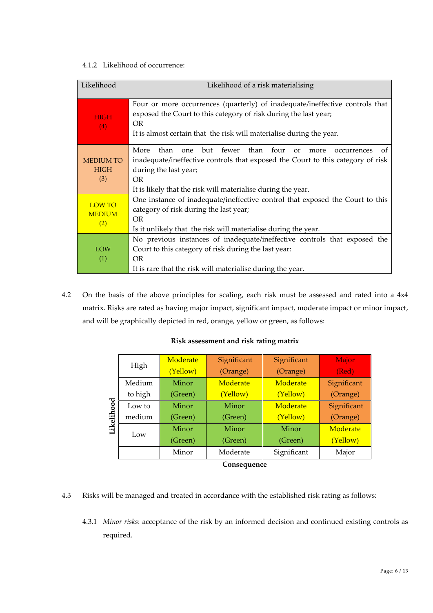#### 4.1.2 Likelihood of occurrence:

| Likelihood                             | Likelihood of a risk materialising                                                                                                                                                                                                                                                         |  |  |  |  |  |  |
|----------------------------------------|--------------------------------------------------------------------------------------------------------------------------------------------------------------------------------------------------------------------------------------------------------------------------------------------|--|--|--|--|--|--|
| <b>HIGH</b><br>(4)                     | Four or more occurrences (quarterly) of inadequate/ineffective controls that<br>exposed the Court to this category of risk during the last year;<br>OR.<br>It is almost certain that the risk will materialise during the year.                                                            |  |  |  |  |  |  |
| <b>MEDIUM TO</b><br><b>HIGH</b><br>(3) | More<br>four<br>than<br>fewer<br>than<br>but<br><sub>one</sub><br>of<br>$\alpha$<br>occurrences<br>more<br>inadequate/ineffective controls that exposed the Court to this category of risk<br>during the last year;<br>OR.<br>It is likely that the risk will materialise during the year. |  |  |  |  |  |  |
| <b>LOW TO</b><br><b>MEDIUM</b><br>(2)  | One instance of inadequate/ineffective control that exposed the Court to this<br>category of risk during the last year;<br>OR.<br>Is it unlikely that the risk will materialise during the year.                                                                                           |  |  |  |  |  |  |
| LOW<br>(1)                             | No previous instances of inadequate/ineffective controls that exposed the<br>Court to this category of risk during the last year:<br>OR<br>It is rare that the risk will materialise during the year.                                                                                      |  |  |  |  |  |  |

4.2 On the basis of the above principles for scaling, each risk must be assessed and rated into a 4x4 matrix. Risks are rated as having major impact, significant impact, moderate impact or minor impact, and will be graphically depicted in red, orange, yellow or green, as follows:

|                      | Moderate | Significant | Significant | Major       |  |  |
|----------------------|----------|-------------|-------------|-------------|--|--|
| High                 | (Yellow) | (Orange)    | (Orange)    | (Red)       |  |  |
| Medium               | Minor    | Moderate    | Moderate    | Significant |  |  |
| to high              | (Green)  | (Yellow)    | (Yellow)    | (Orange)    |  |  |
| Low to               | Minor    | Minor       | Moderate    | Significant |  |  |
| Likelihood<br>medium | (Green)  | (Green)     | (Yellow)    | (Orange)    |  |  |
| Low                  | Minor    | Minor       | Minor       | Moderate    |  |  |
|                      | (Green)  | (Green)     | (Green)     | (Yellow)    |  |  |
|                      | Minor    | Moderate    | Significant | Major       |  |  |
| Consequence          |          |             |             |             |  |  |

#### **Risk assessment and risk rating matrix**

- 4.3 Risks will be managed and treated in accordance with the established risk rating as follows:
	- 4.3.1 *Minor risks*: acceptance of the risk by an informed decision and continued existing controls as required.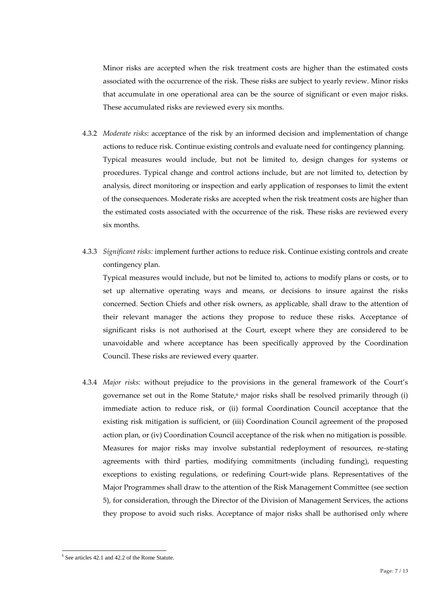Minor risks are accepted when the risk treatment costs are higher than the estimated costs associated with the occurrence of the risk. These risks are subject to yearly review. Minor risks that accumulate in one operational area can be the source of significant or even major risks. These accumulated risks are reviewed every six months.

- 4.3.2 *Moderate risks*: acceptance of the risk by an informed decision and implementation of change actions to reduce risk. Continue existing controls and evaluate need for contingency planning. Typical measures would include, but not be limited to, design changes for systems or procedures. Typical change and control actions include, but are not limited to, detection by analysis, direct monitoring or inspection and early application of responses to limit the extent of the consequences. Moderate risks are accepted when the risk treatment costs are higher than the estimated costs associated with the occurrence of the risk. These risks are reviewed every six months.
- 4.3.3 *Significant risks:* implement further actions to reduce risk. Continue existing controls and create contingency plan.

Typical measures would include, but not be limited to, actions to modify plans or costs, or to set up alternative operating ways and means, or decisions to insure against the risks concerned. Section Chiefs and other risk owners, as applicable, shall draw to the attention of their relevant manager the actions they propose to reduce these risks. Acceptance of significant risks is not authorised at the Court, except where they are considered to be unavoidable and where acceptance has been specifically approved by the Coordination Council. These risks are reviewed every quarter.

4.3.4 *Major risks:* without prejudice to the provisions in the general framework of the Court's governance set out in the Rome Statute, $6$  major risks shall be resolved primarily through (i) immediate action to reduce risk, or (ii) formal Coordination Council acceptance that the existing risk mitigation is sufficient, or (iii) Coordination Council agreement of the proposed action plan, or (iv) Coordination Council acceptance of the risk when no mitigation is possible. Measures for major risks may involve substantial redeployment of resources, re-stating agreements with third parties, modifying commitments (including funding), requesting exceptions to existing regulations, or redefining Court-wide plans. Representatives of the Major Programmes shall draw to the attention of the Risk Management Committee (see section 5), for consideration, through the Director of the Division of Management Services, the actions they propose to avoid such risks. Acceptance of major risks shall be authorised only where

 $6$  See articles 42.1 and 42.2 of the Rome Statute.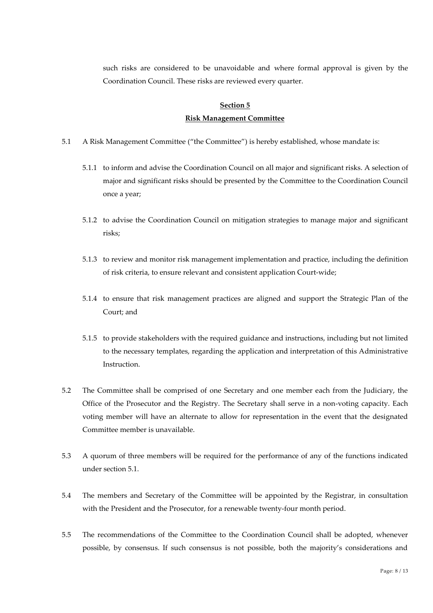such risks are considered to be unavoidable and where formal approval is given by the Coordination Council. These risks are reviewed every quarter.

## **Section 5 Risk Management Committee**

- 5.1 A Risk Management Committee ("the Committee") is hereby established, whose mandate is:
	- 5.1.1 to inform and advise the Coordination Council on all major and significant risks. A selection of major and significant risks should be presented by the Committee to the Coordination Council once a year;
	- 5.1.2 to advise the Coordination Council on mitigation strategies to manage major and significant risks;
	- 5.1.3 to review and monitor risk management implementation and practice, including the definition of risk criteria, to ensure relevant and consistent application Court-wide;
	- 5.1.4 to ensure that risk management practices are aligned and support the Strategic Plan of the Court; and
	- 5.1.5 to provide stakeholders with the required guidance and instructions, including but not limited to the necessary templates, regarding the application and interpretation of this Administrative Instruction.
- 5.2 The Committee shall be comprised of one Secretary and one member each from the Judiciary, the Office of the Prosecutor and the Registry. The Secretary shall serve in a non-voting capacity. Each voting member will have an alternate to allow for representation in the event that the designated Committee member is unavailable.
- 5.3 A quorum of three members will be required for the performance of any of the functions indicated under section 5.1.
- 5.4 The members and Secretary of the Committee will be appointed by the Registrar, in consultation with the President and the Prosecutor, for a renewable twenty-four month period.
- 5.5 The recommendations of the Committee to the Coordination Council shall be adopted, whenever possible, by consensus. If such consensus is not possible, both the majority's considerations and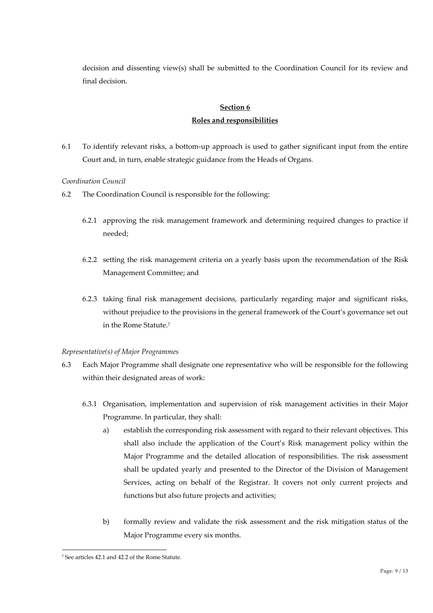decision and dissenting view(s) shall be submitted to the Coordination Council for its review and final decision.

## **Section 6 Roles and responsibilities**

6.1 To identify relevant risks, a bottom-up approach is used to gather significant input from the entire Court and, in turn, enable strategic guidance from the Heads of Organs.

#### *Coordination Council*

- 6.2 The Coordination Council is responsible for the following:
	- 6.2.1 approving the risk management framework and determining required changes to practice if needed;
	- 6.2.2 setting the risk management criteria on a yearly basis upon the recommendation of the Risk Management Committee; and
	- 6.2.3 taking final risk management decisions, particularly regarding major and significant risks, without prejudice to the provisions in the general framework of the Court's governance set out in the Rome Statute.<sup>7</sup>

#### *Representative(s) of Major Programmes*

- 6.3 Each Major Programme shall designate one representative who will be responsible for the following within their designated areas of work:
	- 6.3.1 Organisation, implementation and supervision of risk management activities in their Major Programme. In particular, they shall:
		- a) establish the corresponding risk assessment with regard to their relevant objectives. This shall also include the application of the Court's Risk management policy within the Major Programme and the detailed allocation of responsibilities. The risk assessment shall be updated yearly and presented to the Director of the Division of Management Services, acting on behalf of the Registrar. It covers not only current projects and functions but also future projects and activities;
		- b) formally review and validate the risk assessment and the risk mitigation status of the Major Programme every six months.

<sup>7</sup> See articles 42.1 and 42.2 of the Rome Statute.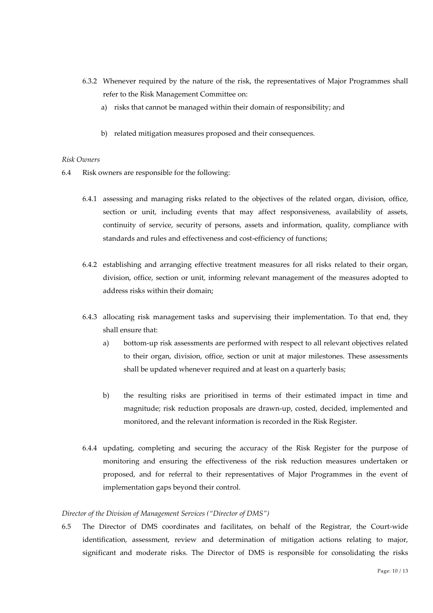- 6.3.2 Whenever required by the nature of the risk, the representatives of Major Programmes shall refer to the Risk Management Committee on:
	- a) risks that cannot be managed within their domain of responsibility; and
	- b) related mitigation measures proposed and their consequences.

#### *Risk Owners*

- 6.4 Risk owners are responsible for the following:
	- 6.4.1 assessing and managing risks related to the objectives of the related organ, division, office, section or unit, including events that may affect responsiveness, availability of assets, continuity of service, security of persons, assets and information, quality, compliance with standards and rules and effectiveness and cost-efficiency of functions;
	- 6.4.2 establishing and arranging effective treatment measures for all risks related to their organ, division, office, section or unit, informing relevant management of the measures adopted to address risks within their domain;
	- 6.4.3 allocating risk management tasks and supervising their implementation. To that end, they shall ensure that:
		- a) bottom-up risk assessments are performed with respect to all relevant objectives related to their organ, division, office, section or unit at major milestones. These assessments shall be updated whenever required and at least on a quarterly basis;
		- b) the resulting risks are prioritised in terms of their estimated impact in time and magnitude; risk reduction proposals are drawn-up, costed, decided, implemented and monitored, and the relevant information is recorded in the Risk Register.
	- 6.4.4 updating, completing and securing the accuracy of the Risk Register for the purpose of monitoring and ensuring the effectiveness of the risk reduction measures undertaken or proposed, and for referral to their representatives of Major Programmes in the event of implementation gaps beyond their control.

#### *Director of the Division of Management Services ("Director of DMS")*

6.5 The Director of DMS coordinates and facilitates, on behalf of the Registrar, the Court-wide identification, assessment, review and determination of mitigation actions relating to major, significant and moderate risks. The Director of DMS is responsible for consolidating the risks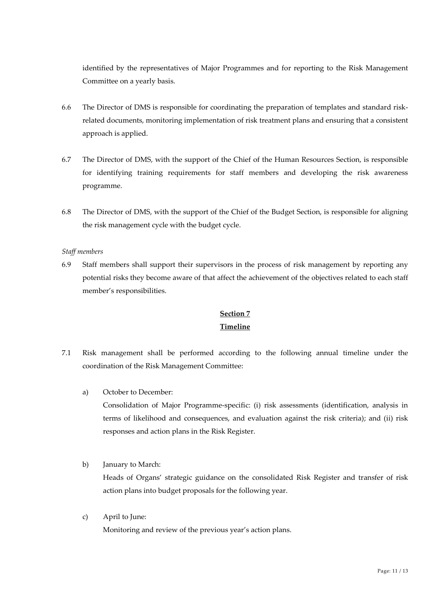identified by the representatives of Major Programmes and for reporting to the Risk Management Committee on a yearly basis.

- 6.6 The Director of DMS is responsible for coordinating the preparation of templates and standard risk related documents, monitoring implementation of risk treatment plans and ensuring that a consistent approach is applied.
- 6.7 The Director of DMS, with the support of the Chief of the Human Resources Section, is responsible for identifying training requirements for staff members and developing the risk awareness programme.
- 6.8 The Director of DMS, with the support of the Chief of the Budget Section, is responsible for aligning the risk management cycle with the budget cycle.

#### *Staff members*

6.9 Staff members shall support their supervisors in the process of risk management by reporting any potential risks they become aware of that affect the achievement of the objectives related to each staff member's responsibilities.

## **Section 7 Timeline**

- 7.1 Risk management shall be performed according to the following annual timeline under the coordination of the Risk Management Committee:
	- a) October to December:

Consolidation of Major Programme-specific: (i) risk assessments (identification, analysis in terms of likelihood and consequences, and evaluation against the risk criteria); and (ii) risk responses and action plans in the Risk Register.

b) January to March:

Heads of Organs' strategic guidance on the consolidated Risk Register and transfer of risk action plans into budget proposals for the following year.

c) April to June:

Monitoring and review of the previous year's action plans.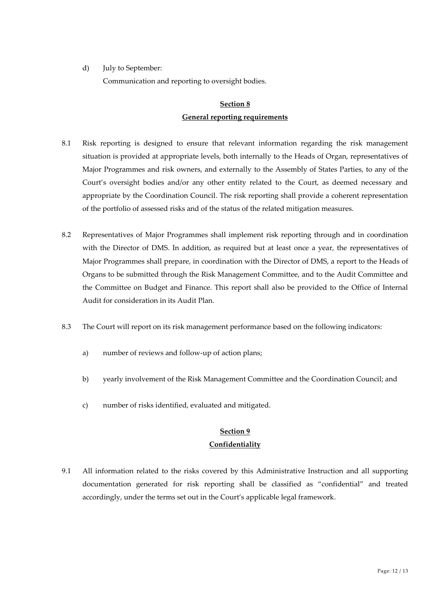d) July to September:

Communication and reporting to oversight bodies.

# **Section 8**

## **General reporting requirements**

- 8.1 Risk reporting is designed to ensure that relevant information regarding the risk management situation is provided at appropriate levels, both internally to the Heads of Organ, representatives of Major Programmes and risk owners, and externally to the Assembly of States Parties, to any of the Court's oversight bodies and/or any other entity related to the Court, as deemed necessary and appropriate by the Coordination Council. The risk reporting shall provide a coherent representation of the portfolio of assessed risks and of the status of the related mitigation measures.
- 8.2 Representatives of Major Programmes shall implement risk reporting through and in coordination with the Director of DMS. In addition, as required but at least once a year, the representatives of Major Programmes shall prepare, in coordination with the Director of DMS, a report to the Heads of Organs to be submitted through the Risk Management Committee, and to the Audit Committee and the Committee on Budget and Finance. This report shall also be provided to the Office of Internal Audit for consideration in its Audit Plan.
- 8.3 The Court will report on its risk management performance based on the following indicators:
	- a) number of reviews and follow-up of action plans;
	- b) yearly involvement of the Risk Management Committee and the Coordination Council; and
	- c) number of risks identified, evaluated and mitigated.

## **Section 9 Confidentiality**

9.1 All information related to the risks covered by this Administrative Instruction and all supporting documentation generated for risk reporting shall be classified as "confidential" and treated accordingly, under the terms set out in the Court's applicable legal framework.